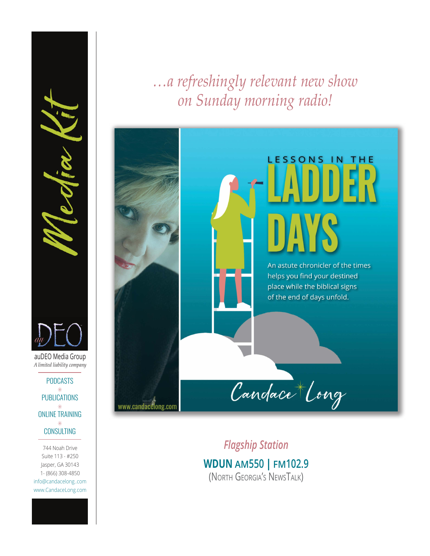*…a refreshingly relevant new show on Sunday morning radio!*

# **LESSONS IN THE** DAYS An astute chronicler of the times helps you find your destined place while the biblical signs of the end of days unfold. Candace Long www.candacelong.com

*Flagship Station*  **WDUN AM550 | [FM102.9](https://www.wdun.com)** (North Georgia's NewsTalk)

auDEO Media Group PODCASTS  $\ast$ **PUBLICATIONS**  $\ast$ ONLINE TRAINING *A limited liability company* ALLET CONSULTING<br>
THE CONSULTING<br>
THE CONSULTING<br>
THE CONSULTING<br>
THE CONSULTING<br>
THE CONSULTING<br>
THE CONSULTING<br>
THE CONSULTING<br>
THE CONSULTING<br>
THE CONSULTING<br>
THE CONSULTING<br>
THE CONSULTING<br>
THE CONSULTING<br>
THE CONSULTI

 $\ast$ **CONSULTING** 

744 Noah Drive Suite 113 - #250 Jasper, GA 30143 1- (866) 308-4850 [info@candacelong..com](mailto:info%40candacelong..com%20?subject=) www.CandaceLong.com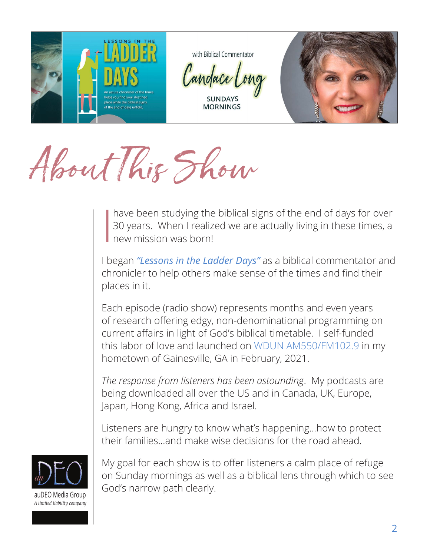

About This Show

I have been studying the biblical signs of the end of days for over 30 years. When I realized we are actually living in these times, a new mission was born!

I began *["Lessons in the Ladder Days"](https://lessonsintheladderdays.buzzsprout.com/)* as a biblical commentator and chronicler to help others make sense of the times and find their places in it.

Each episode (radio show) represents months and even years of research offering edgy, non-denominational programming on current affairs in light of God's biblical timetable. I self-funded this labor of love and launched on [WDUN AM550/FM102.9](http://wdun.com) in my hometown of Gainesville, GA in February, 2021.

*The response from listeners has been astounding*. My podcasts are being downloaded all over the US and in Canada, UK, Europe, Japan, Hong Kong, Africa and Israel.

Listeners are hungry to know what's happening…how to protect their families…and make wise decisions for the road ahead.



My goal for each show is to offer listeners a calm place of refuge on Sunday mornings as well as a biblical lens through which to see God's narrow path clearly.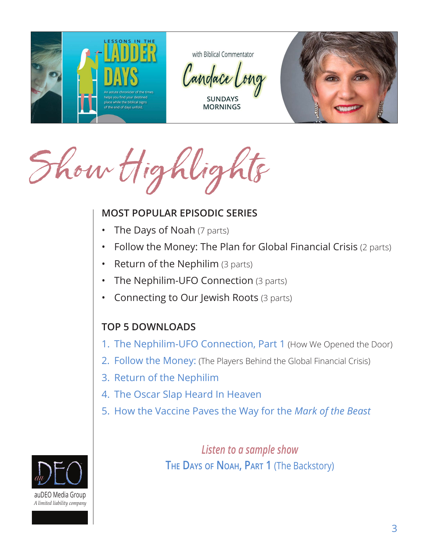

Show Highligh

### **MOST POPULAR EPISODIC SERIES**

- **The Days of Noah (7 parts)**
- Follow the Money: The Plan for Global Financial Crisis (2 parts)
- Return of the Nephilim (3 parts)
- The Nephilim-UFO Connection (3 parts)
- Connecting to Our Jewish Roots (3 parts)

# **TOP 5 DOWNLOADS**

- 1. [The Nephilim-UFO Connection, Part 1](https://www.buzzsprout.com/1650475/8638367) (How We Opened the Door)
- 2. Follow the Money: [\(The Players Behind the Global Financial Crisis](https://www.buzzsprout.com/1650475/9928292))
- 3. [Return of the Nephilim](https://www.buzzsprout.com/1650475/8188186)
- 4. [The Oscar Slap Heard In Heaven](https://www.buzzsprout.com/1650475/10402299)
- 5. [How the Vaccine Paves the Way for the](https://www.buzzsprout.com/1650475/9831463) *Mark of the Beast*



*Listen to a sample show* **The Days [of Noah, Part 1](https://www.buzzsprout.com/1650475/9431055)** (The Backstory)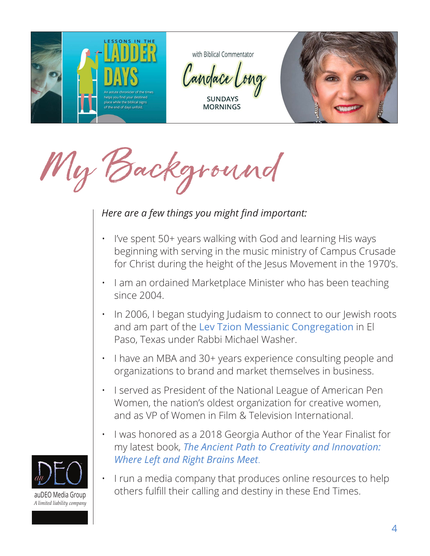

My Background

# *Here are a few things you might find important:*

- I've spent 50+ years walking with God and learning His ways beginning with serving in the music ministry of Campus Crusade for Christ during the height of the Jesus Movement in the 1970's.
- I am an ordained Marketplace Minister who has been teaching since 2004.
- In 2006, I began studying Judaism to connect to our Jewish roots and am part of the [Lev Tzion Messianic Congregation](https://levtzion.org/our-teacher) in El Paso, Texas under Rabbi Michael Washer.
- I have an MBA and 30+ years experience consulting people and organizations to brand and market themselves in business.
- I served as President of the National League of American Pen Women, the nation's oldest organization for creative women, and as VP of Women in Film & Television International.
- I was honored as a 2018 Georgia Author of the Year Finalist for my latest book, *[The Ancient Path to Creativity and Innovation:](https://candacelong.com/resources/)  [Where Left and Right Brains Meet](https://candacelong.com/resources/)*.
- I run a media company that produces online resources to help others fulfill their calling and destiny in these End Times.

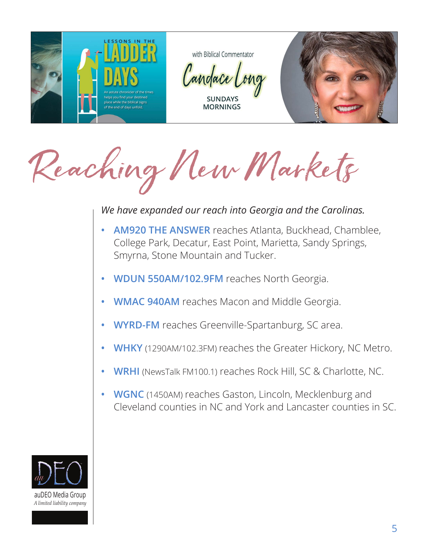

Reaching New Markets

#### *We have expanded our reach into Georgia and the Carolinas.*

- **• [AM920 THE ANSWER](https://am920theanswer.com/)** reaches Atlanta, Buckhead, Chamblee, College Park, Decatur, East Point, Marietta, Sandy Springs, Smyrna, Stone Mountain and Tucker.
- **• [WDUN 550AM/102.9FM](http://wdun.com)** reaches North Georgia.
- **• [WMAC 940AM](https://www.wmac-am.com/)** reaches Macon and Middle Georgia.
- **• [WYRD-FM](https://www.audacy.com/1063word)** reaches Greenville-Spartanburg, SC area.
- **• [WHKY](https://whky.com/)** (1290AM/102.3FM) reaches the Greater Hickory, NC Metro.
- **• [WRHI](http://www.wrhi.com)** (NewsTalk FM100.1) reaches Rock Hill, SC & Charlotte, NC.
- **• [WGNC](https://www.wgncradio.com/)** (1450AM) reaches Gaston, Lincoln, Mecklenburg and Cleveland counties in NC and York and Lancaster counties in SC.

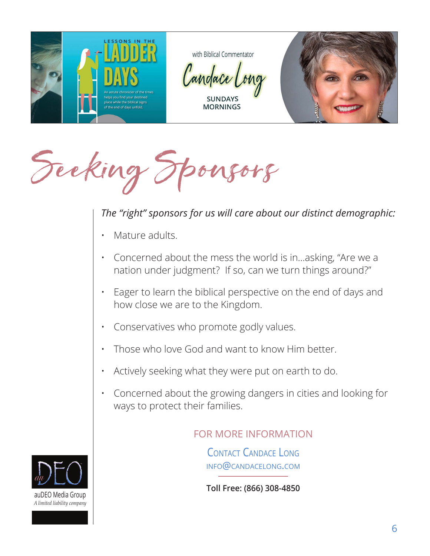

Seeking Sponsors

## *The "right" sponsors for us will care about our distinct demographic:*

- Mature adults.
- Concerned about the mess the world is in…asking, "Are we a nation under judgment? If so, can we turn things around?"
- Eager to learn the biblical perspective on the end of days and how close we are to the Kingdom.
- Conservatives who promote godly values.
- Those who love God and want to know Him better.
- Actively seeking what they were put on earth to do.
- Concerned about the growing dangers in cities and looking for ways to protect their families.

#### FOR MORE INFORMATION

[Contact Candace](mailto:candacelong%40me.com?subject=) Long info@candacelong.com

**Toll Free: (866) 308-4850**

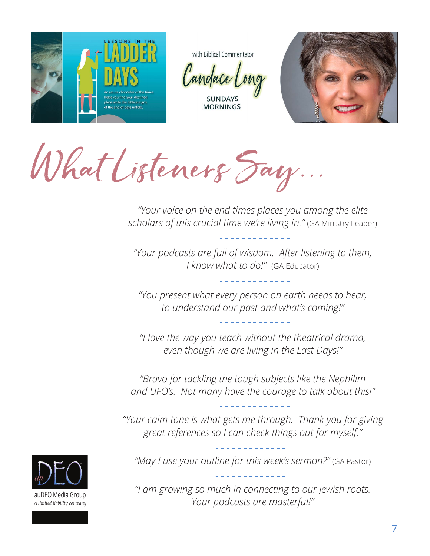

What Listeners Say...

*"Your voice on the end times places you among the elite scholars of this crucial time we're living in."* (GA Ministry Leader)

*"Your podcasts are full of wisdom. After listening to them, I know what to do!"* (GA Educator)

*"You present what every person on earth needs to hear, to understand our past and what's coming!"*

*"I love the way you teach without the theatrical drama, even though we are living in the Last Days!"* 

*"Bravo for tackling the tough subjects like the Nephilim and UFO's. Not many have the courage to talk about this!"* 

*"Your calm tone is what gets me through. Thank you for giving great references so I can check things out for myself."*

"May I use your outline for this week's sermon?" (GA Pastor)

*"I am growing so much in connecting to our Jewish roots. Your podcasts are masterful!"*